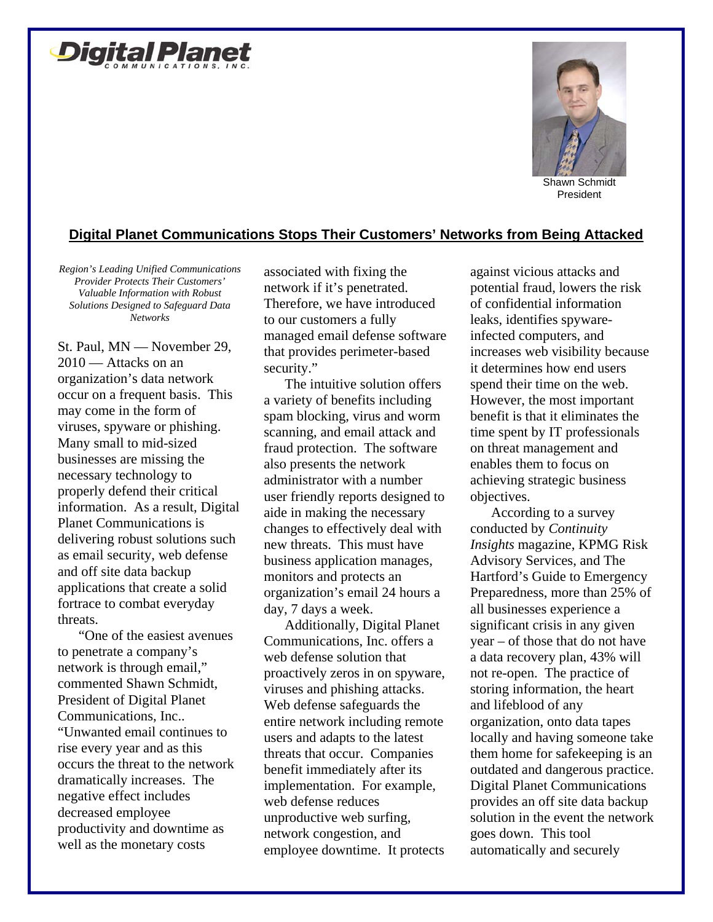



President

## **Digital Planet Communications Stops Their Customers' Networks from Being Attacked**

*Region's Leading Unified Communications Provider Protects Their Customers' Valuable Information with Robust Solutions Designed to Safeguard Data Networks* 

St. Paul, MN — November 29, 2010 — Attacks on an organization's data network occur on a frequent basis. This may come in the form of viruses, spyware or phishing. Many small to mid-sized businesses are missing the necessary technology to properly defend their critical information. As a result, Digital Planet Communications is delivering robust solutions such as email security, web defense and off site data backup applications that create a solid fortrace to combat everyday threats.

"One of the easiest avenues to penetrate a company's network is through email," commented Shawn Schmidt, President of Digital Planet Communications, Inc.. "Unwanted email continues to rise every year and as this occurs the threat to the network dramatically increases. The negative effect includes decreased employee productivity and downtime as well as the monetary costs

associated with fixing the network if it's penetrated. Therefore, we have introduced to our customers a fully managed email defense software that provides perimeter-based security."

The intuitive solution offers a variety of benefits including spam blocking, virus and worm scanning, and email attack and fraud protection. The software also presents the network administrator with a number user friendly reports designed to aide in making the necessary changes to effectively deal with new threats. This must have business application manages, monitors and protects an organization's email 24 hours a day, 7 days a week.

Additionally, Digital Planet Communications, Inc. offers a web defense solution that proactively zeros in on spyware, viruses and phishing attacks. Web defense safeguards the entire network including remote users and adapts to the latest threats that occur. Companies benefit immediately after its implementation. For example, web defense reduces unproductive web surfing, network congestion, and employee downtime. It protects against vicious attacks and potential fraud, lowers the risk of confidential information leaks, identifies spywareinfected computers, and increases web visibility because it determines how end users spend their time on the web. However, the most important benefit is that it eliminates the time spent by IT professionals on threat management and enables them to focus on achieving strategic business objectives.

According to a survey conducted by *Continuity Insights* magazine, KPMG Risk Advisory Services, and The Hartford's Guide to Emergency Preparedness, more than 25% of all businesses experience a significant crisis in any given year – of those that do not have a data recovery plan, 43% will not re-open. The practice of storing information, the heart and lifeblood of any organization, onto data tapes locally and having someone take them home for safekeeping is an outdated and dangerous practice. Digital Planet Communications provides an off site data backup solution in the event the network goes down. This tool automatically and securely